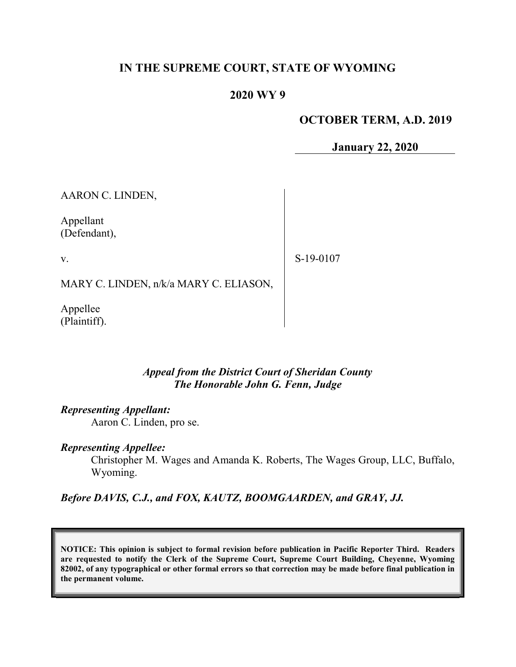# IN THE SUPREME COURT, STATE OF WYOMING

## 2020 WY 9

### OCTOBER TERM, A.D. 2019

January 22, 2020

AARON C. LINDEN,

Appellant (Defendant),

v.

S-19-0107

MARY C. LINDEN, n/k/a MARY C. ELIASON,

Appellee (Plaintiff).

### Appeal from the District Court of Sheridan County The Honorable John G. Fenn, Judge

### Representing Appellant:

Aaron C. Linden, pro se.

#### Representing Appellee:

Christopher M. Wages and Amanda K. Roberts, The Wages Group, LLC, Buffalo, Wyoming.

Before DAVIS, C.J., and FOX, KAUTZ, BOOMGAARDEN, and GRAY, JJ.

NOTICE: This opinion is subject to formal revision before publication in Pacific Reporter Third. Readers are requested to notify the Clerk of the Supreme Court, Supreme Court Building, Cheyenne, Wyoming 82002, of any typographical or other formal errors so that correction may be made before final publication in the permanent volume.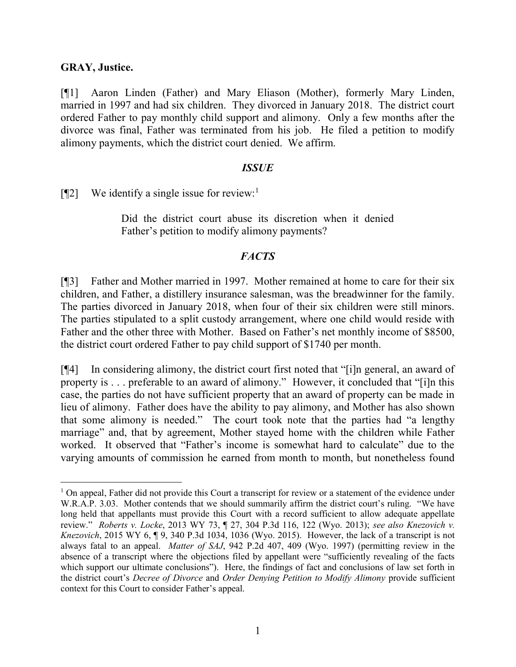### GRAY, Justice.

 $\overline{a}$ 

[¶1] Aaron Linden (Father) and Mary Eliason (Mother), formerly Mary Linden, married in 1997 and had six children. They divorced in January 2018. The district court ordered Father to pay monthly child support and alimony. Only a few months after the divorce was final, Father was terminated from his job. He filed a petition to modify alimony payments, which the district court denied. We affirm.

### **ISSUE**

 $[\P2]$  We identify a single issue for review:<sup>1</sup>

Did the district court abuse its discretion when it denied Father's petition to modify alimony payments?

### **FACTS**

[¶3] Father and Mother married in 1997. Mother remained at home to care for their six children, and Father, a distillery insurance salesman, was the breadwinner for the family. The parties divorced in January 2018, when four of their six children were still minors. The parties stipulated to a split custody arrangement, where one child would reside with Father and the other three with Mother. Based on Father's net monthly income of \$8500, the district court ordered Father to pay child support of \$1740 per month.

[¶4] In considering alimony, the district court first noted that "[i]n general, an award of property is . . . preferable to an award of alimony." However, it concluded that "[i]n this case, the parties do not have sufficient property that an award of property can be made in lieu of alimony. Father does have the ability to pay alimony, and Mother has also shown that some alimony is needed." The court took note that the parties had "a lengthy marriage" and, that by agreement, Mother stayed home with the children while Father worked. It observed that "Father's income is somewhat hard to calculate" due to the varying amounts of commission he earned from month to month, but nonetheless found

<sup>&</sup>lt;sup>1</sup> On appeal, Father did not provide this Court a transcript for review or a statement of the evidence under W.R.A.P. 3.03. Mother contends that we should summarily affirm the district court's ruling. "We have long held that appellants must provide this Court with a record sufficient to allow adequate appellate review." Roberts v. Locke, 2013 WY 73, ¶ 27, 304 P.3d 116, 122 (Wyo. 2013); see also Knezovich v. Knezovich, 2015 WY 6, ¶ 9, 340 P.3d 1034, 1036 (Wyo. 2015). However, the lack of a transcript is not always fatal to an appeal. Matter of SAJ, 942 P.2d 407, 409 (Wyo. 1997) (permitting review in the absence of a transcript where the objections filed by appellant were "sufficiently revealing of the facts which support our ultimate conclusions"). Here, the findings of fact and conclusions of law set forth in the district court's Decree of Divorce and Order Denying Petition to Modify Alimony provide sufficient context for this Court to consider Father's appeal.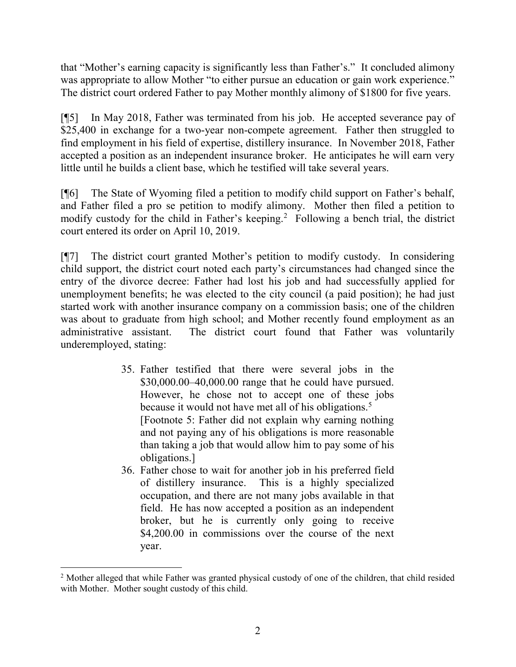that "Mother's earning capacity is significantly less than Father's." It concluded alimony was appropriate to allow Mother "to either pursue an education or gain work experience." The district court ordered Father to pay Mother monthly alimony of \$1800 for five years.

[¶5] In May 2018, Father was terminated from his job. He accepted severance pay of \$25,400 in exchange for a two-year non-compete agreement. Father then struggled to find employment in his field of expertise, distillery insurance. In November 2018, Father accepted a position as an independent insurance broker. He anticipates he will earn very little until he builds a client base, which he testified will take several years.

[¶6] The State of Wyoming filed a petition to modify child support on Father's behalf, and Father filed a pro se petition to modify alimony. Mother then filed a petition to modify custody for the child in Father's keeping.<sup>2</sup> Following a bench trial, the district court entered its order on April 10, 2019.

[¶7] The district court granted Mother's petition to modify custody. In considering child support, the district court noted each party's circumstances had changed since the entry of the divorce decree: Father had lost his job and had successfully applied for unemployment benefits; he was elected to the city council (a paid position); he had just started work with another insurance company on a commission basis; one of the children was about to graduate from high school; and Mother recently found employment as an administrative assistant. The district court found that Father was voluntarily underemployed, stating:

- 35. Father testified that there were several jobs in the \$30,000.00–40,000.00 range that he could have pursued. However, he chose not to accept one of these jobs because it would not have met all of his obligations.<sup>5</sup> [Footnote 5: Father did not explain why earning nothing and not paying any of his obligations is more reasonable than taking a job that would allow him to pay some of his obligations.]
- 36. Father chose to wait for another job in his preferred field of distillery insurance. This is a highly specialized occupation, and there are not many jobs available in that field. He has now accepted a position as an independent broker, but he is currently only going to receive \$4,200.00 in commissions over the course of the next year.

 $\overline{a}$ <sup>2</sup> Mother alleged that while Father was granted physical custody of one of the children, that child resided with Mother. Mother sought custody of this child.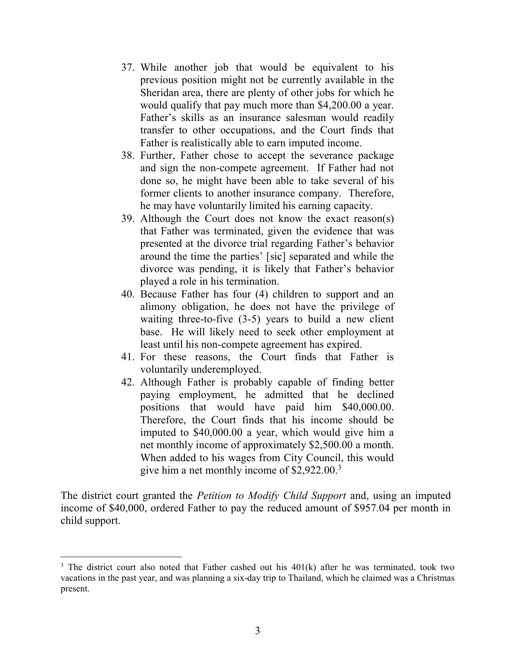- 37. While another job that would be equivalent to his previous position might not be currently available in the Sheridan area, there are plenty of other jobs for which he would qualify that pay much more than \$4,200.00 a year. Father's skills as an insurance salesman would readily transfer to other occupations, and the Court finds that Father is realistically able to earn imputed income.
- 38. Further, Father chose to accept the severance package and sign the non-compete agreement. If Father had not done so, he might have been able to take several of his former clients to another insurance company. Therefore, he may have voluntarily limited his earning capacity.
- 39. Although the Court does not know the exact reason(s) that Father was terminated, given the evidence that was presented at the divorce trial regarding Father's behavior around the time the parties' [sic] separated and while the divorce was pending, it is likely that Father's behavior played a role in his termination.
- 40. Because Father has four (4) children to support and an alimony obligation, he does not have the privilege of waiting three-to-five (3-5) years to build a new client base. He will likely need to seek other employment at least until his non-compete agreement has expired.
- 41. For these reasons, the Court finds that Father is voluntarily underemployed.
- 42. Although Father is probably capable of finding better paying employment, he admitted that he declined positions that would have paid him \$40,000.00. Therefore, the Court finds that his income should be imputed to \$40,000.00 a year, which would give him a net monthly income of approximately \$2,500.00 a month. When added to his wages from City Council, this would give him a net monthly income of \$2,922.00.<sup>3</sup>

The district court granted the *Petition to Modify Child Support* and, using an imputed income of \$40,000, ordered Father to pay the reduced amount of \$957.04 per month in child support.

 $\overline{a}$ 

 $3$  The district court also noted that Father cashed out his  $401(k)$  after he was terminated, took two vacations in the past year, and was planning a six-day trip to Thailand, which he claimed was a Christmas present.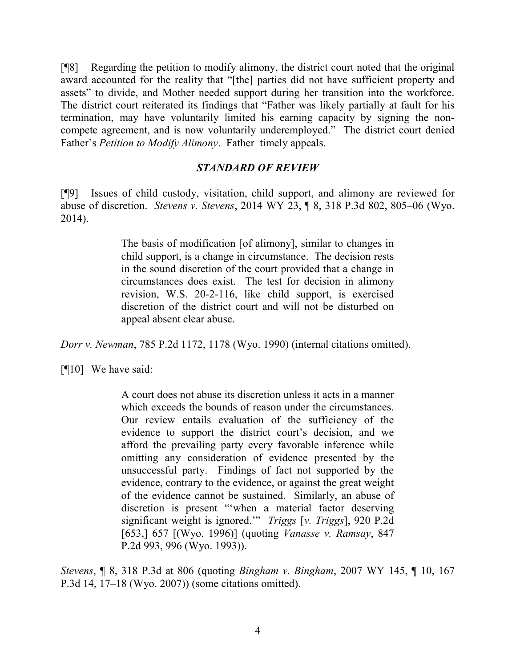[¶8] Regarding the petition to modify alimony, the district court noted that the original award accounted for the reality that "[the] parties did not have sufficient property and assets" to divide, and Mother needed support during her transition into the workforce. The district court reiterated its findings that "Father was likely partially at fault for his termination, may have voluntarily limited his earning capacity by signing the noncompete agreement, and is now voluntarily underemployed." The district court denied Father's Petition to Modify Alimony. Father timely appeals.

### STANDARD OF REVIEW

[¶9] Issues of child custody, visitation, child support, and alimony are reviewed for abuse of discretion. Stevens v. Stevens, 2014 WY 23, ¶ 8, 318 P.3d 802, 805–06 (Wyo. 2014).

> The basis of modification [of alimony], similar to changes in child support, is a change in circumstance. The decision rests in the sound discretion of the court provided that a change in circumstances does exist. The test for decision in alimony revision, W.S. 20-2-116, like child support, is exercised discretion of the district court and will not be disturbed on appeal absent clear abuse.

Dorr v. Newman, 785 P.2d 1172, 1178 (Wyo. 1990) (internal citations omitted).

[¶10] We have said:

A court does not abuse its discretion unless it acts in a manner which exceeds the bounds of reason under the circumstances. Our review entails evaluation of the sufficiency of the evidence to support the district court's decision, and we afford the prevailing party every favorable inference while omitting any consideration of evidence presented by the unsuccessful party. Findings of fact not supported by the evidence, contrary to the evidence, or against the great weight of the evidence cannot be sustained. Similarly, an abuse of discretion is present "'when a material factor deserving significant weight is ignored." Triggs [v. Triggs], 920 P.2d [653,] 657 [(Wyo. 1996)] (quoting *Vanasse v. Ramsay*, 847 P.2d 993, 996 (Wyo. 1993)).

Stevens, ¶ 8, 318 P.3d at 806 (quoting Bingham v. Bingham, 2007 WY 145, ¶ 10, 167 P.3d 14, 17–18 (Wyo. 2007)) (some citations omitted).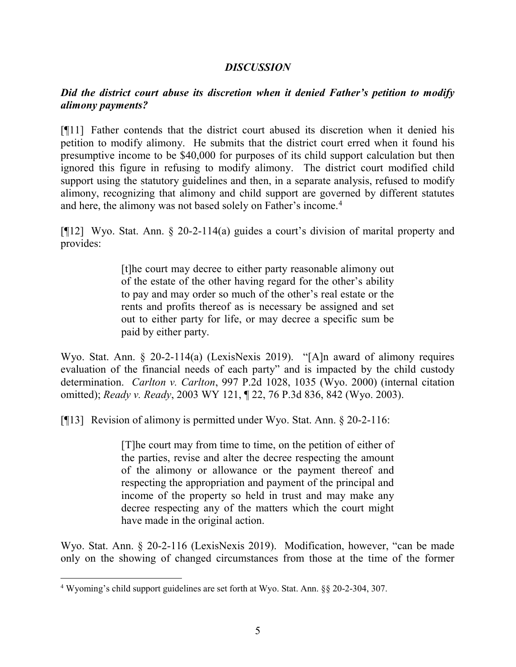### **DISCUSSION**

## Did the district court abuse its discretion when it denied Father's petition to modify alimony payments?

[¶11] Father contends that the district court abused its discretion when it denied his petition to modify alimony. He submits that the district court erred when it found his presumptive income to be \$40,000 for purposes of its child support calculation but then ignored this figure in refusing to modify alimony. The district court modified child support using the statutory guidelines and then, in a separate analysis, refused to modify alimony, recognizing that alimony and child support are governed by different statutes and here, the alimony was not based solely on Father's income.<sup>4</sup>

[¶12] Wyo. Stat. Ann. § 20-2-114(a) guides a court's division of marital property and provides:

> [t]he court may decree to either party reasonable alimony out of the estate of the other having regard for the other's ability to pay and may order so much of the other's real estate or the rents and profits thereof as is necessary be assigned and set out to either party for life, or may decree a specific sum be paid by either party.

Wyo. Stat. Ann. § 20-2-114(a) (LexisNexis 2019). "[A]n award of alimony requires evaluation of the financial needs of each party" and is impacted by the child custody determination. Carlton v. Carlton, 997 P.2d 1028, 1035 (Wyo. 2000) (internal citation omitted); Ready v. Ready, 2003 WY 121, ¶ 22, 76 P.3d 836, 842 (Wyo. 2003).

[¶13] Revision of alimony is permitted under Wyo. Stat. Ann. § 20-2-116:

[T]he court may from time to time, on the petition of either of the parties, revise and alter the decree respecting the amount of the alimony or allowance or the payment thereof and respecting the appropriation and payment of the principal and income of the property so held in trust and may make any decree respecting any of the matters which the court might have made in the original action.

Wyo. Stat. Ann. § 20-2-116 (LexisNexis 2019). Modification, however, "can be made only on the showing of changed circumstances from those at the time of the former

 $\overline{a}$ 

<sup>&</sup>lt;sup>4</sup> Wyoming's child support guidelines are set forth at Wyo. Stat. Ann. §§ 20-2-304, 307.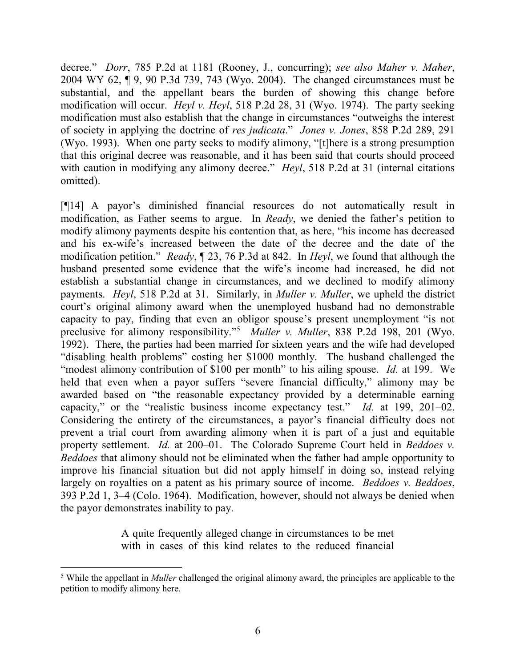decree." *Dorr*, 785 P.2d at 1181 (Rooney, J., concurring); see also Maher v. Maher, 2004 WY 62, ¶ 9, 90 P.3d 739, 743 (Wyo. 2004). The changed circumstances must be substantial, and the appellant bears the burden of showing this change before modification will occur. *Heyl v. Heyl*, 518 P.2d 28, 31 (Wyo. 1974). The party seeking modification must also establish that the change in circumstances "outweighs the interest of society in applying the doctrine of res judicata." Jones v. Jones, 858 P.2d 289, 291 (Wyo. 1993). When one party seeks to modify alimony, "[t]here is a strong presumption that this original decree was reasonable, and it has been said that courts should proceed with caution in modifying any alimony decree." Heyl, 518 P.2d at 31 (internal citations omitted).

[¶14] A payor's diminished financial resources do not automatically result in modification, as Father seems to argue. In Ready, we denied the father's petition to modify alimony payments despite his contention that, as here, "his income has decreased and his ex-wife's increased between the date of the decree and the date of the modification petition." *Ready*,  $\P$  23, 76 P.3d at 842. In *Heyl*, we found that although the husband presented some evidence that the wife's income had increased, he did not establish a substantial change in circumstances, and we declined to modify alimony payments. Heyl, 518 P.2d at 31. Similarly, in Muller v. Muller, we upheld the district court's original alimony award when the unemployed husband had no demonstrable capacity to pay, finding that even an obligor spouse's present unemployment "is not preclusive for alimony responsibility."<sup>5</sup> Muller v. Muller, 838 P.2d 198, 201 (Wyo. 1992). There, the parties had been married for sixteen years and the wife had developed "disabling health problems" costing her \$1000 monthly. The husband challenged the "modest alimony contribution of \$100 per month" to his ailing spouse. Id. at 199. We held that even when a payor suffers "severe financial difficulty," alimony may be awarded based on "the reasonable expectancy provided by a determinable earning capacity," or the "realistic business income expectancy test." Id. at 199, 201–02. Considering the entirety of the circumstances, a payor's financial difficulty does not prevent a trial court from awarding alimony when it is part of a just and equitable property settlement. *Id.* at 200–01. The Colorado Supreme Court held in *Beddoes v.* Beddoes that alimony should not be eliminated when the father had ample opportunity to improve his financial situation but did not apply himself in doing so, instead relying largely on royalties on a patent as his primary source of income. *Beddoes v. Beddoes*, 393 P.2d 1, 3–4 (Colo. 1964). Modification, however, should not always be denied when the payor demonstrates inability to pay.

> A quite frequently alleged change in circumstances to be met with in cases of this kind relates to the reduced financial

 $\overline{a}$ 

<sup>&</sup>lt;sup>5</sup> While the appellant in *Muller* challenged the original alimony award, the principles are applicable to the petition to modify alimony here.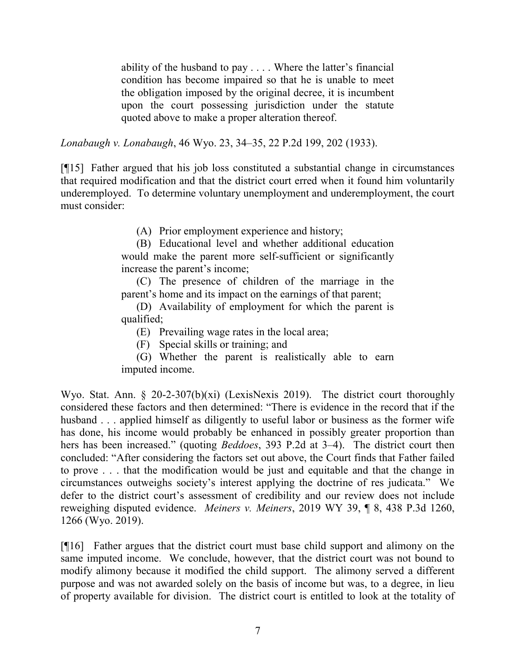ability of the husband to pay . . . . Where the latter's financial condition has become impaired so that he is unable to meet the obligation imposed by the original decree, it is incumbent upon the court possessing jurisdiction under the statute quoted above to make a proper alteration thereof.

Lonabaugh v. Lonabaugh, 46 Wyo. 23, 34–35, 22 P.2d 199, 202 (1933).

[¶15] Father argued that his job loss constituted a substantial change in circumstances that required modification and that the district court erred when it found him voluntarily underemployed. To determine voluntary unemployment and underemployment, the court must consider:

(A) Prior employment experience and history;

(B) Educational level and whether additional education would make the parent more self-sufficient or significantly increase the parent's income;

(C) The presence of children of the marriage in the parent's home and its impact on the earnings of that parent;

(D) Availability of employment for which the parent is qualified;

(E) Prevailing wage rates in the local area;

(F) Special skills or training; and

(G) Whether the parent is realistically able to earn imputed income.

Wyo. Stat. Ann. § 20-2-307(b)(xi) (LexisNexis 2019). The district court thoroughly considered these factors and then determined: "There is evidence in the record that if the husband . . . applied himself as diligently to useful labor or business as the former wife has done, his income would probably be enhanced in possibly greater proportion than hers has been increased." (quoting *Beddoes*, 393 P.2d at 3-4). The district court then concluded: "After considering the factors set out above, the Court finds that Father failed to prove . . . that the modification would be just and equitable and that the change in circumstances outweighs society's interest applying the doctrine of res judicata." We defer to the district court's assessment of credibility and our review does not include reweighing disputed evidence. Meiners v. Meiners, 2019 WY 39, ¶ 8, 438 P.3d 1260, 1266 (Wyo. 2019).

[¶16] Father argues that the district court must base child support and alimony on the same imputed income. We conclude, however, that the district court was not bound to modify alimony because it modified the child support. The alimony served a different purpose and was not awarded solely on the basis of income but was, to a degree, in lieu of property available for division. The district court is entitled to look at the totality of